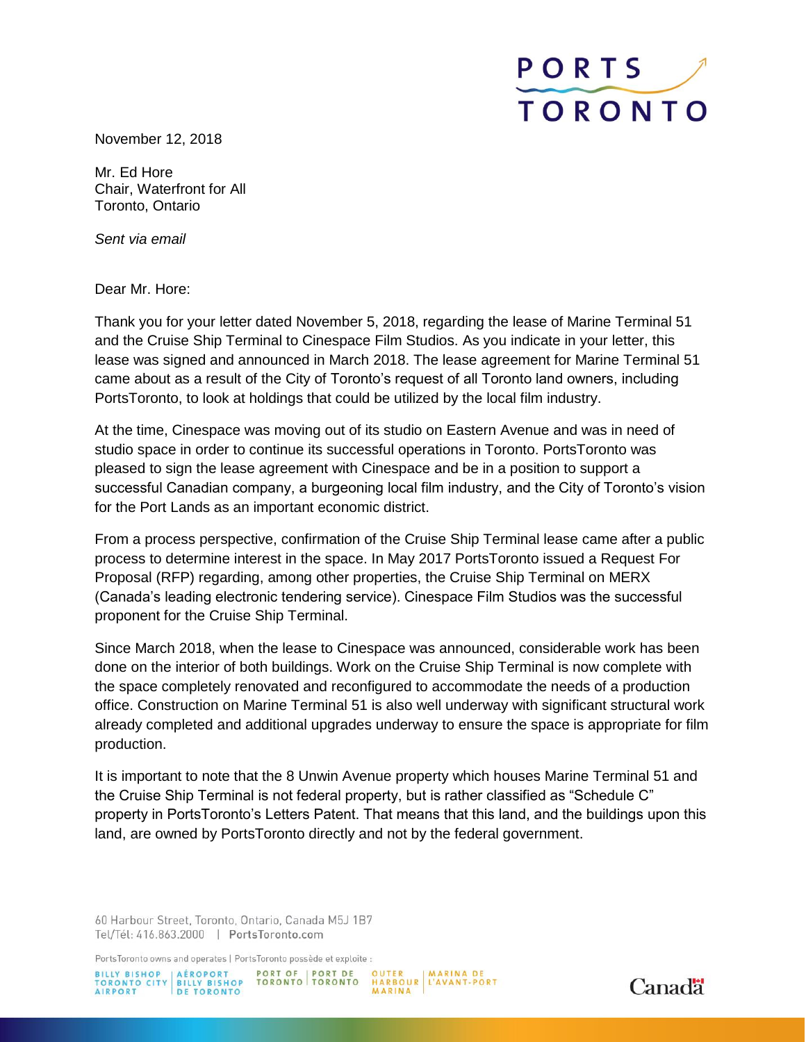

November 12, 2018

Mr. Ed Hore Chair, Waterfront for All Toronto, Ontario

*Sent via email*

Dear Mr. Hore:

Thank you for your letter dated November 5, 2018, regarding the lease of Marine Terminal 51 and the Cruise Ship Terminal to Cinespace Film Studios. As you indicate in your letter, this lease was signed and announced in March 2018. The lease agreement for Marine Terminal 51 came about as a result of the City of Toronto's request of all Toronto land owners, including PortsToronto, to look at holdings that could be utilized by the local film industry.

At the time, Cinespace was moving out of its studio on Eastern Avenue and was in need of studio space in order to continue its successful operations in Toronto. PortsToronto was pleased to sign the lease agreement with Cinespace and be in a position to support a successful Canadian company, a burgeoning local film industry, and the City of Toronto's vision for the Port Lands as an important economic district.

From a process perspective, confirmation of the Cruise Ship Terminal lease came after a public process to determine interest in the space. In May 2017 PortsToronto issued a Request For Proposal (RFP) regarding, among other properties, the Cruise Ship Terminal on MERX (Canada's leading electronic tendering service). Cinespace Film Studios was the successful proponent for the Cruise Ship Terminal.

Since March 2018, when the lease to Cinespace was announced, considerable work has been done on the interior of both buildings. Work on the Cruise Ship Terminal is now complete with the space completely renovated and reconfigured to accommodate the needs of a production office. Construction on Marine Terminal 51 is also well underway with significant structural work already completed and additional upgrades underway to ensure the space is appropriate for film production.

It is important to note that the 8 Unwin Avenue property which houses Marine Terminal 51 and the Cruise Ship Terminal is not federal property, but is rather classified as "Schedule C" property in PortsToronto's Letters Patent. That means that this land, and the buildings upon this land, are owned by PortsToronto directly and not by the federal government.

60 Harbour Street, Toronto, Ontario, Canada M5J 1B7 Tel/Tél: 416.863.2000 | PortsToronto.com

PortsToronto owns and operates | PortsToronto possède et exploite :

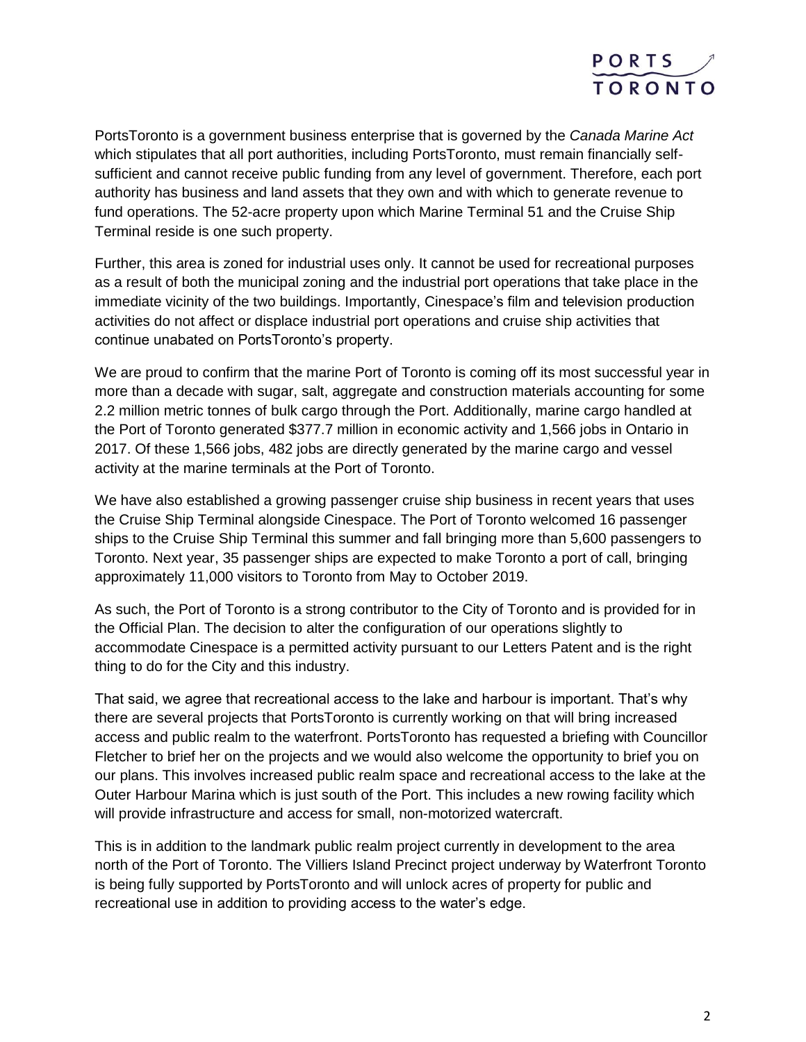

PortsToronto is a government business enterprise that is governed by the *Canada Marine Act* which stipulates that all port authorities, including PortsToronto, must remain financially selfsufficient and cannot receive public funding from any level of government. Therefore, each port authority has business and land assets that they own and with which to generate revenue to fund operations. The 52-acre property upon which Marine Terminal 51 and the Cruise Ship Terminal reside is one such property.

Further, this area is zoned for industrial uses only. It cannot be used for recreational purposes as a result of both the municipal zoning and the industrial port operations that take place in the immediate vicinity of the two buildings. Importantly, Cinespace's film and television production activities do not affect or displace industrial port operations and cruise ship activities that continue unabated on PortsToronto's property.

We are proud to confirm that the marine Port of Toronto is coming off its most successful year in more than a decade with sugar, salt, aggregate and construction materials accounting for some 2.2 million metric tonnes of bulk cargo through the Port. Additionally, marine cargo handled at the Port of Toronto generated \$377.7 million in economic activity and 1,566 jobs in Ontario in 2017. Of these 1,566 jobs, 482 jobs are directly generated by the marine cargo and vessel activity at the marine terminals at the Port of Toronto.

We have also established a growing passenger cruise ship business in recent years that uses the Cruise Ship Terminal alongside Cinespace. The Port of Toronto welcomed 16 passenger ships to the Cruise Ship Terminal this summer and fall bringing more than 5,600 passengers to Toronto. Next year, 35 passenger ships are expected to make Toronto a port of call, bringing approximately 11,000 visitors to Toronto from May to October 2019.

As such, the Port of Toronto is a strong contributor to the City of Toronto and is provided for in the Official Plan. The decision to alter the configuration of our operations slightly to accommodate Cinespace is a permitted activity pursuant to our Letters Patent and is the right thing to do for the City and this industry.

That said, we agree that recreational access to the lake and harbour is important. That's why there are several projects that PortsToronto is currently working on that will bring increased access and public realm to the waterfront. PortsToronto has requested a briefing with Councillor Fletcher to brief her on the projects and we would also welcome the opportunity to brief you on our plans. This involves increased public realm space and recreational access to the lake at the Outer Harbour Marina which is just south of the Port. This includes a new rowing facility which will provide infrastructure and access for small, non-motorized watercraft.

This is in addition to the landmark public realm project currently in development to the area north of the Port of Toronto. The Villiers Island Precinct project underway by Waterfront Toronto is being fully supported by PortsToronto and will unlock acres of property for public and recreational use in addition to providing access to the water's edge.